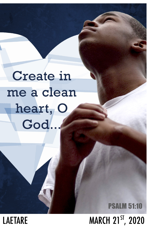# **Create in** me a clean heart, O God.

# **PSALM 51:10 MARCH 21ST, 2020**

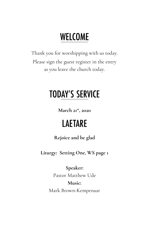# **WELCOME**

Thank you for worshipping with us today. Please sign the guest register in the entry as you leave the church today.

## **TODAY'S SERVICE**

**March 21st, 2020**

### **LAETARE**

#### **Rejoice and be glad**

**Liturgy: Setting One, WS page 1**

#### **Speaker:**

Pastor Matthew Ude **Music:** Mark Brown-Kempenaar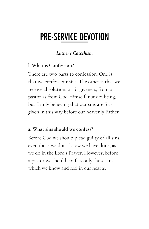### **PRE-SERVICE DEVOTION**

#### *Luther's Catechism*

#### **l. What is Confession?**

There are two parts to confession. One is that we confess our sins. The other is that we receive absolution, or forgiveness, from a pastor as from God Himself, not doubting, but firmly believing that our sins are forgiven in this way before our heavenly Father.

#### **2. What sins should we confess?**

Before God we should plead guilty of all sins, even those we don't know we have done, as we do in the Lord's Prayer. However, before a pastor we should confess only those sins which we know and feel in our hearts.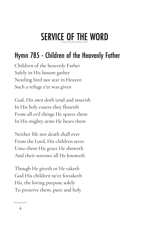# **SERVICE OF THE WORD**

### Hymn 785 - Children of the Heavenly Father

Children of the heavenly Father Safely in His bosom gather Nestling bird nor star in Heaven Such a refuge e'er was given

God, His own doth tend and nourish In His holy courts they flourish From all evil things He spares them In His mighty arms He bears them

Neither life nor death shall ever From the Lord, His children sever Unto them His grace He showeth And their sorrows all He knoweth

Though He giveth or He taketh God His children ne'er forsaketh His, the loving purpose solely To preserve them, pure and holy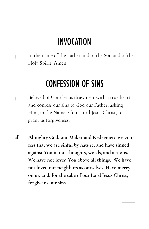### **INVOCATION**

p In the name of the Father and of the Son and of the Holy Spirit. Amen

### **CONFESSION OF SINS**

- p Beloved of God: let us draw near with a true heart and confess our sins to God our Father, asking Him, in the Name of our Lord Jesus Christ, to grant us forgiveness.
- **all Almighty God, our Maker and Redeemer: we confess that we are sinful by nature, and have sinned against You in our thoughts, words, and actions. We have not loved You above all things. We have not loved our neighbors as ourselves. Have mercy on us, and, for the sake of our Lord Jesus Christ, forgive us our sins.**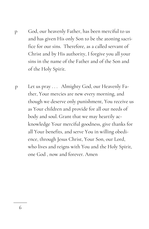- p God, our heavenly Father, has been merciful to us and has given His only Son to be the atoning sacrifice for our sins. Therefore, as a called servant of Christ and by His authority, I forgive you all your sins in the name of the Father and of the Son and of the Holy Spirit.
- p Let us pray . . . Almighty God, our Heavenly Father, Your mercies are new every morning, and though we deserve only punishment, You receive us as Your children and provide for all our needs of body and soul. Grant that we may heartily acknowledge Your merciful goodness, give thanks for all Your benefits, and serve You in willing obedience, through Jesus Christ, Your Son, our Lord, who lives and reigns with You and the Holy Spirit, one God , now and forever. Amen

6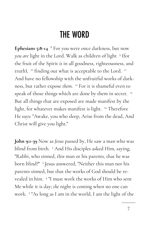### **THE WORD**

**Ephesians 5:8-14** <sup>8</sup> For you were once darkness, but now *you are* light in the Lord. Walk as children of light <sup>9</sup> (for the fruit of the Spirit *is* in all goodness, righteousness, and truth), <sup>10</sup> finding out what is acceptable to the Lord.  $^{\text{II}}$ And have no fellowship with the unfruitful works of darkness, but rather expose *them*. <sup>12</sup> For it is shameful even to speak of those things which are done by them in secret.<sup>13</sup> But all things that are exposed are made manifest by the light, for whatever makes manifest is light. <sup>14</sup> Therefore He says: "Awake, you who sleep, Arise from the dead, And Christ will give you light."

**John 9:1-39** Now as *Jesus* passed by, He saw a man who was blind from birth. <sup>2</sup> And His disciples asked Him, saying, "Rabbi, who sinned, this man or his parents, that he was born blind?" <sup>3</sup> Jesus answered, "Neither this man nor his parents sinned, but that the works of God should be revealed in him. <sup>4</sup> "I must work the works of Him who sent Me while it is day; *the* night is coming when no one can work. <sup>5</sup> "As long as I am in the world, I am the light of the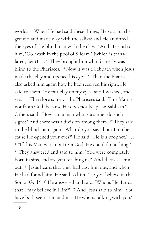world." <sup>6</sup> When He had said these things, He spat on the ground and made clay with the saliva; and He anointed the eyes of the blind man with the clay. <sup>7</sup> And He said to him, "Go, wash in the pool of Siloam " (which is translated, Sent) . . . <sup>13</sup> They brought him who formerly was blind to the Pharisees. <sup>14</sup> Now it was a Sabbath when Jesus made the clay and opened his eyes. <sup>15</sup> Then the Pharisees also asked him again how he had received his sight. He said to them, "He put clay on my eyes, and I washed, and I see." <sup>16</sup> Therefore some of the Pharisees said, "This Man is not from God, because He does not keep the Sabbath." Others said, "How can a man who is a sinner do such signs?" And there was a division among them. <sup>17</sup> They said to the blind man again, "What do you say about Him because He opened your eyes?" He said, "He is a prophet." . . . <sup>33</sup> "If this Man were not from God, He could do nothing." <sup>34</sup> They answered and said to him, "You were completely born in sins, and are you teaching us?" And they cast him out. <sup>35</sup> Jesus heard that they had cast him out; and when He had found him, He said to him, "Do you believe in the Son of God?"<sup>36</sup> He answered and said, "Who is He, Lord, that I may believe in Him?" <sup>37</sup> And Jesus said to him, "You have both seen Him and it is He who is talking with you."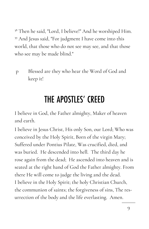<sup>38</sup> Then he said, "Lord, I believe!" And he worshiped Him. <sup>39</sup> And Jesus said, "For judgment I have come into this world, that those who do not see may see, and that those who see may be made blind."

p Blessed are they who hear the Word of God and keep it!

# THE APOSTLES' CREED

I believe in God, the Father almighty, Maker of heaven and earth.

I believe in Jesus Christ, His only Son, our Lord; Who was conceived by the Holy Spirit, Born of the virgin Mary; Suffered under Pontius Pilate, Was crucified, died, and was buried. He descended into hell. The third day he rose again from the dead; He ascended into heaven and is seated at the right hand of God the Father almighty. From there He will come to judge the living and the dead. I believe in the Holy Spirit; the holy Christian Church, the communion of saints; the forgiveness of sins, The resurrection of the body and the life everlasting. Amen.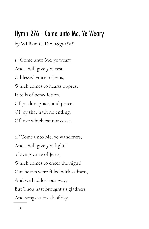### Hymn 276 - Come unto Me, Ye Weary

by William C. Dix, 1837-1898

1. "Come unto Me, ye weary, And I will give you rest." O blessed voice of Jesus, Which comes to hearts opprest! It tells of benediction, Of pardon, grace, and peace, Of joy that hath no ending, Of love which cannot cease.

2. "Come unto Me, ye wanderers; And I will give you light." 0 loving voice of Jesus, Which comes to cheer the night! Our hearts were filled with sadness, And we had lost our way; But Thou hast brought us gladness And songs at break of day.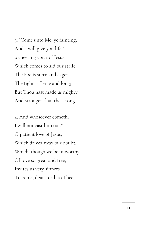3. "Come unto Me, ye fainting, And I will give you life." 0 cheering voice of Jesus, Which comes to aid our strife! The Foe is stern and eager, The fight is fierce and long; But Thou hast made us mighty And stronger than the strong.

4. And whosoever cometh, I will not cast him out." O patient love of Jesus, Which drives away our doubt, Which, though we be unworthy Of love so great and free, Invites us very sinners To come, dear Lord, to Thee!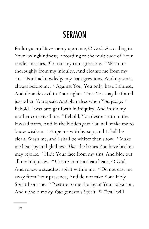### **SERMON**

**Psalm 51:1-19** Have mercy upon me, O God, According to Your lovingkindness; According to the multitude of Your tender mercies, Blot out my transgressions. <sup>2</sup> Wash me thoroughly from my iniquity, And cleanse me from my sin. <sup>3</sup> For I acknowledge my transgressions, And my sin *is*  always before me. <sup>4</sup> Against You, You only, have I sinned, And done *this* evil in Your sight-- That You may be found just when You speak, *And* blameless when You judge. <sup>5</sup> Behold, I was brought forth in iniquity, And in sin my mother conceived me. <sup>6</sup> Behold, You desire truth in the inward parts, And in the hidden *part* You will make me to know wisdom. <sup>7</sup> Purge me with hyssop, and I shall be clean; Wash me, and I shall be whiter than snow. <sup>8</sup> Make me hear joy and gladness, *That* the bones You have broken may rejoice. <sup>9</sup> Hide Your face from my sins, And blot out all my iniquities. <sup>10</sup> Create in me a clean heart, O God, And renew a steadfast spirit within me. " Do not cast me away from Your presence, And do not take Your Holy Spirit from me. <sup>12</sup> Restore to me the joy of Your salvation, And uphold me *by Your* generous Spirit. <sup>13</sup> *Then* I will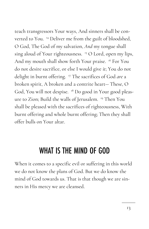teach transgressors Your ways, And sinners shall be converted to You. <sup>14</sup> Deliver me from the guilt of bloodshed, O God, The God of my salvation, *And* my tongue shall sing aloud of Your righteousness. <sup>15</sup> O Lord, open my lips, And my mouth shall show forth Your praise. <sup>16</sup> For You do not desire sacrifice, or else I would give *it*; You do not delight in burnt offering. <sup>17</sup> The sacrifices of God *are* a broken spirit, A broken and a contrite heart-- These, O God, You will not despise. <sup>18</sup> Do good in Your good pleasure to Zion; Build the walls of Jerusalem. <sup>19</sup> Then You shall be pleased with the sacrifices of righteousness, With burnt offering and whole burnt offering; Then they shall offer bulls on Your altar.

### **WHAT IS THE MIND OF GOD**

When it comes to a specific evil or suffering in this world we do not know the plans of God. But we do know the mind of God towards us. That is that though we are sinners in His mercy we are cleansed.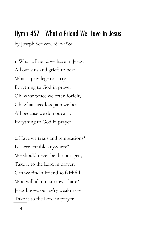### Hymn 457 - What a Friend We Have in Jesus

by Joseph Scriven, 1820-1886

1. What a Friend we have in Jesus, All our sins and griefs to bear! What a privilege to carry Ev'rything to God in prayer! Oh, what peace we often forfeit, Oh, what needless pain we bear, All because we do not carry Ev'rything to God in prayer!

2. Have we trials and temptations? Is there trouble anywhere? We should never be discouraged, Take it to the Lord in prayer. Can we find a Friend so faithful Who will all our sorrows share? Jesus knows our ev'ry weakness-- Take it to the Lord in prayer.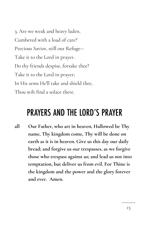3. Are we weak and heavy laden, Cumbered with a load of care? Precious Savior, still our Refuge-- Take it to the Lord in prayer. Do thy friends despise, forsake thee? Take it to the Lord in prayer; In His arms He'll take and shield thee, Thou wilt find a solace there.

### **PRAYERS AND THE LORD'S PRAYER**

**all Our Father, who art in heaven, Hallowed be Thy name, Thy kingdom come, Thy will be done on earth as it is in heaven. Give us this day our daily bread; and forgive us our trespasses, as we forgive those who trespass against us; and lead us not into temptation, but deliver us from evil. For Thine is the kingdom and the power and the glory forever and ever. Amen.**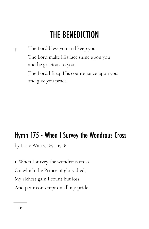## **THE BENEDICTION**

p The Lord bless you and keep you. The Lord make His face shine upon you and be gracious to you. The Lord lift up His countenance upon you and give you peace.

### Hymn 175 - When I Survey the Wondrous Cross

by Isaac Watts, 1674-1748

1. When I survey the wondrous cross On which the Prince of glory died, My richest gain I count but loss And pour contempt on all my pride.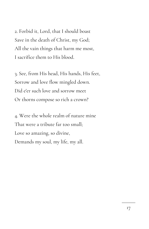2. Forbid it, Lord, that I should boast Save in the death of Christ, my God; All the vain things that harm me most, I sacrifice them to His blood.

3. See, from His head, His hands, His feet, Sorrow and love flow mingled down. Did e'er such love and sorrow meet Or thorns compose so rich a crown?

4. Were the whole realm of nature mine That were a tribute far too small; Love so amazing, so divine, Demands my soul, my life, my all.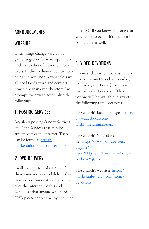#### ANNOUNCEMENTS

#### **WORSHIP**

Until things change we cannot gather together for worship. This is under the edict of Governor Tony Evers. In this we honor God by honoring the governor. Nevertheless we all need God's word and comfort now more than ever, therefore I will attempt for now to accomplish the following:

#### **1. POSTING SERVICES**

Regularly posting Sunday Services and Lent Services that may be streamed over the internet. These can be found at [https://](https://markesanlutheran.com/sermon/) [markesanlutheran.com/sermon/](https://markesanlutheran.com/sermon/)

### 2. DVD DELIVERY

I will attempt to make DVDs of these same services and deliver them to whoever cannot stream services over the internet. To this end I would ask that anyone who needs a DVD please contact me by phone or

email. Or if you know someone that would like to be on this list please contact me as well.

### 3. VIDEO DEVOTIONS

On most days when there is no service to stream (Monday, Tuesday, Thursday, and Friday) I will post instead a short devotion. These devotions will be available in any of the following three locations:

The church's facebook page: [https://](https://www.facebook.com/faithlutheranmarkesan/) [www.facebook.com/](https://www.facebook.com/faithlutheranmarkesan/) [faithlutheranmarkesan/](https://www.facebook.com/faithlutheranmarkesan/)

The church's YouTube channel: [https://www.youtube.com/](https://www.youtube.com/playlist?list=PLN9T64lPUWuRsT68MaoamAYbcbvY4QCdi) [playlist?](https://www.youtube.com/playlist?list=PLN9T64lPUWuRsT68MaoamAYbcbvY4QCdi) [list=PLN9T64lPUWuRsT68Maoam](https://www.youtube.com/playlist?list=PLN9T64lPUWuRsT68MaoamAYbcbvY4QCdi) [AYbcbvY4QCdi](https://www.youtube.com/playlist?list=PLN9T64lPUWuRsT68MaoamAYbcbvY4QCdi)

The church's website: [https://](https://markesanlutheran.com/home-devotions) [markesanlutheran.com/home](https://markesanlutheran.com/home-devotions)[devotions](https://markesanlutheran.com/home-devotions)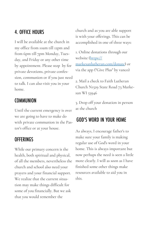#### **4. OFFICE HOURS**

I will be available at the church in my office from 10am till 12pm and from 6pm till 7pm Monday, Tuesday, and Friday or any other time by appointment. Please stop by for private devotions, private confession, communion or if you just need to talk. I can also visit you in your home.

#### **COMMUNION**

Until the current emergency is over we are going to have to make do with private communion in the Pastor's office or at your house.

#### **OFFERINGS**

While our primary concern is the health, both spiritual and physical, of all the members, nevertheless the church and school also need your prayers and your financial support. We realize that the current situation may make things difficult for some of you financially. But we ask that you would remember the

church and as you are able support it with your offerings. This can be accomplished in one of three ways:

1. Online donations through our website [\(https://](https://markesanlutheran.com/donate) [markesanlutheran.com/donate\)](https://markesanlutheran.com/donate) or via the app ("Give Plus" by vanco)

2. Mail a check to Faith Lutheran Church N1529 State Road 73 Markesan WI 53946

3. Drop off your donation in person at the church

#### **GOD'S WORD IN YOUR HOME**

As always, I encourage father's to make sure your family is making regular use of God's word in your home. This is always important but now perhaps the need is seen a little more clearly. I will as soon as I have finished some other things make resources available to aid you in this.